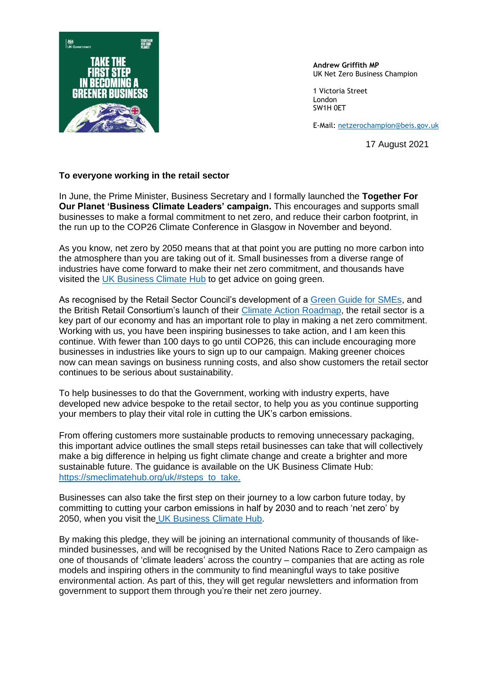

**Andrew Griffith MP** UK Net Zero Business Champion

1 Victoria Street London SW1H 0ET

E-Mail: [netzerochampion@beis.gov.uk](mailto:netzerochampion@beis.gov.uk)

17 August 2021

## **To everyone working in the retail sector**

In June, the Prime Minister, Business Secretary and I formally launched the **Together For Our Planet 'Business Climate Leaders' campaign.** This encourages and supports small businesses to make a formal commitment to net zero, and reduce their carbon footprint, in the run up to the COP26 Climate Conference in Glasgow in November and beyond.

As you know, net zero by 2050 means that at that point you are putting no more carbon into the atmosphere than you are taking out of it. Small businesses from a diverse range of industries have come forward to make their net zero commitment, and thousands have visited the [UK Business Climate Hub](http://www.businessclimatehub.org/uk/) to get advice on going green.

As recognised by the Retail Sector Council's development of a [Green Guide for SMEs,](https://greenstreet.org.uk/) and the British Retail Consortium's launch of their [Climate Action Roadmap,](https://brc.org.uk/climate-roadmap/) the retail sector is a key part of our economy and has an important role to play in making a net zero commitment. Working with us, you have been inspiring businesses to take action, and I am keen this continue. With fewer than 100 days to go until COP26, this can include encouraging more businesses in industries like yours to sign up to our campaign. Making greener choices now can mean savings on business running costs, and also show customers the retail sector continues to be serious about sustainability.

To help businesses to do that the Government, working with industry experts, have developed new advice bespoke to the retail sector, to help you as you continue supporting your members to play their vital role in cutting the UK's carbon emissions.

From offering customers more sustainable products to removing unnecessary packaging, this important advice outlines the small steps retail businesses can take that will collectively make a big difference in helping us fight climate change and create a brighter and more sustainable future. The guidance is available on the UK Business Climate Hub: [https://smeclimatehub.org/uk/#steps\\_to\\_take.](https://smeclimatehub.org/uk/#steps_to_take)

Businesses can also take the first step on their journey to a low carbon future today, by committing to cutting your carbon emissions in half by 2030 and to reach 'net zero' by 2050, when you visit the [UK Business Climate Hub.](http://www.businessclimatehub.org/uk/)

By making this pledge, they will be joining an international community of thousands of likeminded businesses, and will be recognised by the United Nations Race to Zero campaign as one of thousands of 'climate leaders' across the country – companies that are acting as role models and inspiring others in the community to find meaningful ways to take positive environmental action. As part of this, they will get regular newsletters and information from government to support them through you're their net zero journey.